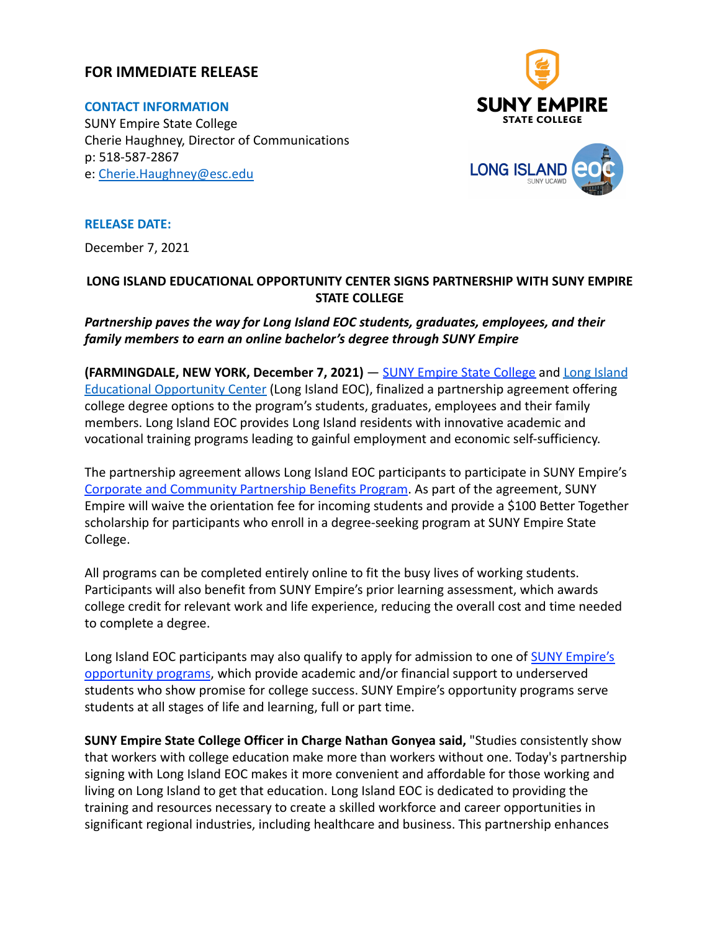### **FOR IMMEDIATE RELEASE**

**CONTACT INFORMATION** SUNY Empire State College Cherie Haughney, Director of Communications p: 518-587-2867 e: [Cherie.Haughney@esc.edu](mailto:Cherie.Haughney@esc.edu)





**RELEASE DATE:**

December 7, 2021

### **LONG ISLAND EDUCATIONAL OPPORTUNITY CENTER SIGNS PARTNERSHIP WITH SUNY EMPIRE STATE COLLEGE**

*Partnership paves the way for Long Island EOC students, graduates, employees, and their family members to earn an online bachelor's degree through SUNY Empire*

**(FARMINGDALE, NEW YORK, December 7, 2021)** — [SUNY Empire](http://www.esc.edu/) State College and [Long Island](https://longislandeoc.org/) [Educational Opportunity Center](https://longislandeoc.org/) (Long Island EOC), finalized a partnership agreement offering college degree options to the program's students, graduates, employees and their family members. Long Island EOC provides Long Island residents with innovative academic and vocational training programs leading to gainful employment and economic self-sufficiency.

The partnership agreement allows Long Island EOC participants to participate in SUNY Empire's [Corporate and Community Partnership Benefits Program](https://www.esc.edu/partnership-programs/). As part of the agreement, SUNY Empire will waive the orientation fee for incoming students and provide a \$100 Better Together scholarship for participants who enroll in a degree-seeking program at SUNY Empire State College.

All programs can be completed entirely online to fit the busy lives of working students. Participants will also benefit from SUNY Empire's prior learning assessment, which awards college credit for relevant work and life experience, reducing the overall cost and time needed to complete a degree.

Long Island EOC participants may also qualify to apply for admission to one of [SUNY Empire's](https://www.esc.edu/admissions/eop/) [opportunity programs](https://www.esc.edu/admissions/eop/), which provide academic and/or financial support to underserved students who show promise for college success. SUNY Empire's opportunity programs serve students at all stages of life and learning, full or part time.

**SUNY Empire State College Officer in Charge Nathan Gonyea said,** "Studies consistently show that workers with college education make more than workers without one. Today's partnership signing with Long Island EOC makes it more convenient and affordable for those working and living on Long Island to get that education. Long Island EOC is dedicated to providing the training and resources necessary to create a skilled workforce and career opportunities in significant regional industries, including healthcare and business. This partnership enhances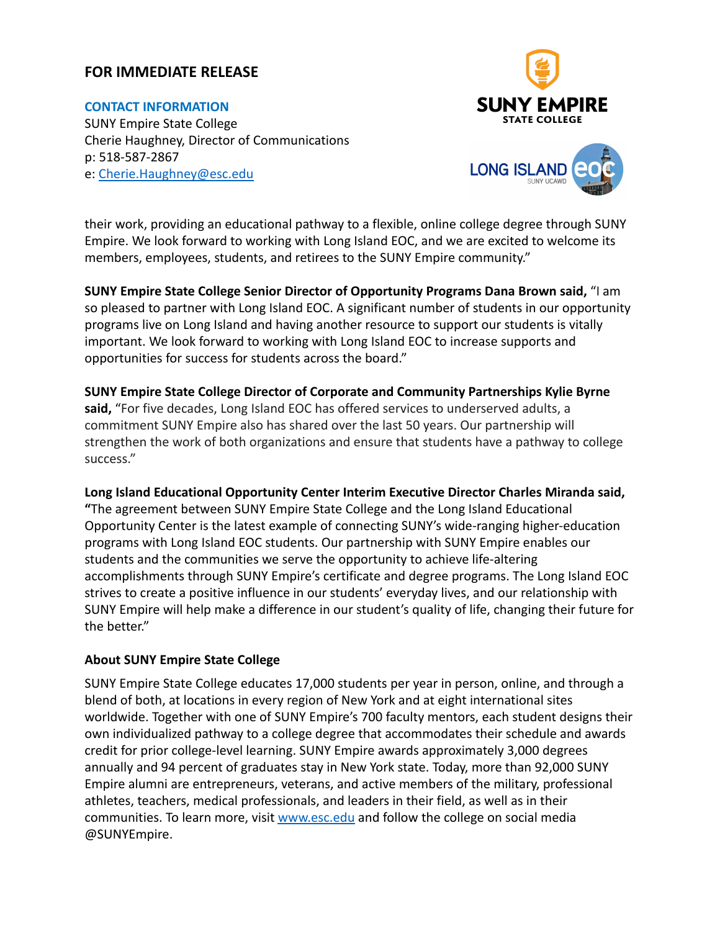# **FOR IMMEDIATE RELEASE**

#### **CONTACT INFORMATION**

SUNY Empire State College Cherie Haughney, Director of Communications p: 518-587-2867 e: [Cherie.Haughney@esc.edu](mailto:Cherie.Haughney@esc.edu)



their work, providing an educational pathway to a flexible, online college degree through SUNY Empire. We look forward to working with Long Island EOC, and we are excited to welcome its members, employees, students, and retirees to the SUNY Empire community."

**SUNY Empire State College Senior Director of Opportunity Programs Dana Brown said,** "I am so pleased to partner with Long Island EOC. A significant number of students in our opportunity programs live on Long Island and having another resource to support our students is vitally important. We look forward to working with Long Island EOC to increase supports and opportunities for success for students across the board."

#### **SUNY Empire State College Director of Corporate and Community Partnerships Kylie Byrne**

**said,** "For five decades, Long Island EOC has offered services to underserved adults, a commitment SUNY Empire also has shared over the last 50 years. Our partnership will strengthen the work of both organizations and ensure that students have a pathway to college success."

#### **Long Island Educational Opportunity Center Interim Executive Director Charles Miranda said,**

**"**The agreement between SUNY Empire State College and the Long Island Educational Opportunity Center is the latest example of connecting SUNY's wide-ranging higher-education programs with Long Island EOC students. Our partnership with SUNY Empire enables our students and the communities we serve the opportunity to achieve life-altering accomplishments through SUNY Empire's certificate and degree programs. The Long Island EOC strives to create a positive influence in our students' everyday lives, and our relationship with SUNY Empire will help make a difference in our student's quality of life, changing their future for the better."

#### **About SUNY Empire State College**

SUNY Empire State College educates 17,000 students per year in person, online, and through a blend of both, at locations in every region of New York and at eight international sites worldwide. Together with one of SUNY Empire's 700 faculty mentors, each student designs their own individualized pathway to a college degree that accommodates their schedule and awards credit for prior college-level learning. SUNY Empire awards approximately 3,000 degrees annually and 94 percent of graduates stay in New York state. Today, more than 92,000 SUNY Empire alumni are entrepreneurs, veterans, and active members of the military, professional athletes, teachers, medical professionals, and leaders in their field, as well as in their communities. To learn more, visit [www.esc.edu](http://www.esc.edu) and follow the college on social media @SUNYEmpire.